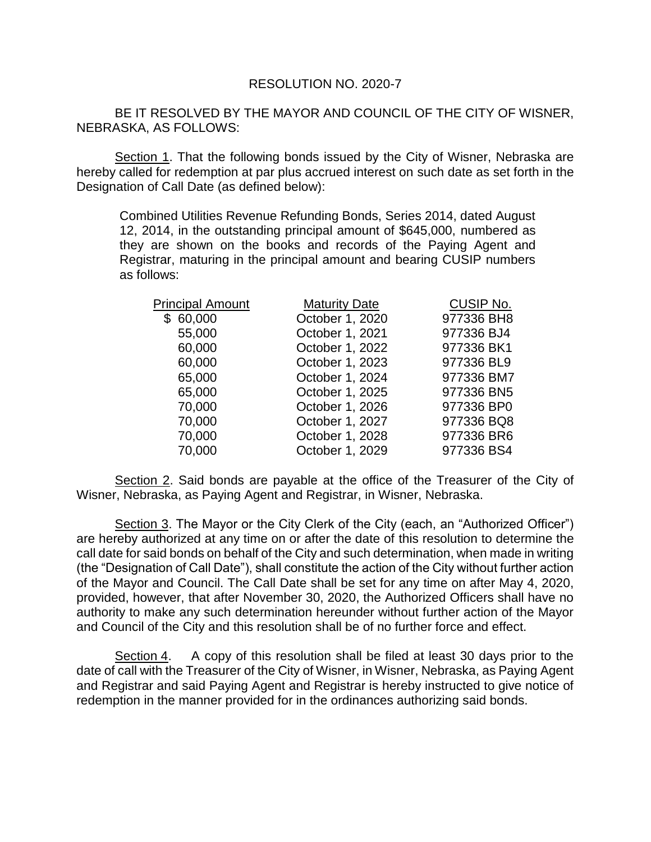## RESOLUTION NO. 2020-7

BE IT RESOLVED BY THE MAYOR AND COUNCIL OF THE CITY OF WISNER, NEBRASKA, AS FOLLOWS:

Section 1. That the following bonds issued by the City of Wisner, Nebraska are hereby called for redemption at par plus accrued interest on such date as set forth in the Designation of Call Date (as defined below):

Combined Utilities Revenue Refunding Bonds, Series 2014, dated August 12, 2014, in the outstanding principal amount of \$645,000, numbered as they are shown on the books and records of the Paying Agent and Registrar, maturing in the principal amount and bearing CUSIP numbers as follows:

| <b>Principal Amount</b> | <b>Maturity Date</b> | <b>CUSIP No.</b> |
|-------------------------|----------------------|------------------|
| \$60,000                | October 1, 2020      | 977336 BH8       |
| 55,000                  | October 1, 2021      | 977336 BJ4       |
| 60,000                  | October 1, 2022      | 977336 BK1       |
| 60,000                  | October 1, 2023      | 977336 BL9       |
| 65,000                  | October 1, 2024      | 977336 BM7       |
| 65,000                  | October 1, 2025      | 977336 BN5       |
| 70,000                  | October 1, 2026      | 977336 BP0       |
| 70,000                  | October 1, 2027      | 977336 BQ8       |
| 70,000                  | October 1, 2028      | 977336 BR6       |
| 70,000                  | October 1, 2029      | 977336 BS4       |
|                         |                      |                  |

Section 2. Said bonds are payable at the office of the Treasurer of the City of Wisner, Nebraska, as Paying Agent and Registrar, in Wisner, Nebraska.

Section 3. The Mayor or the City Clerk of the City (each, an "Authorized Officer") are hereby authorized at any time on or after the date of this resolution to determine the call date for said bonds on behalf of the City and such determination, when made in writing (the "Designation of Call Date"), shall constitute the action of the City without further action of the Mayor and Council. The Call Date shall be set for any time on after May 4, 2020, provided, however, that after November 30, 2020, the Authorized Officers shall have no authority to make any such determination hereunder without further action of the Mayor and Council of the City and this resolution shall be of no further force and effect.

Section 4. A copy of this resolution shall be filed at least 30 days prior to the date of call with the Treasurer of the City of Wisner, in Wisner, Nebraska, as Paying Agent and Registrar and said Paying Agent and Registrar is hereby instructed to give notice of redemption in the manner provided for in the ordinances authorizing said bonds.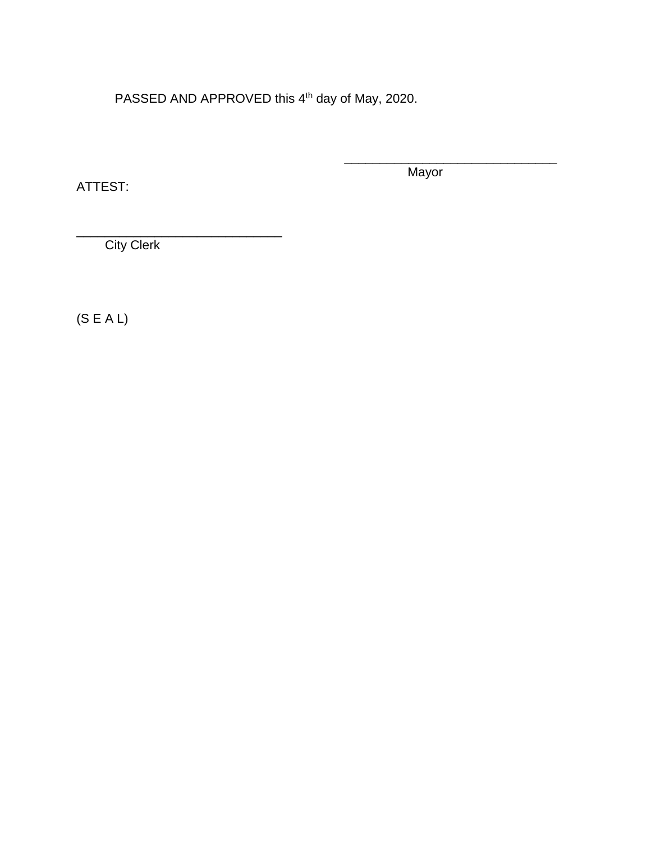PASSED AND APPROVED this 4<sup>th</sup> day of May, 2020.

ATTEST:

Mayor

\_\_\_\_\_\_\_\_\_\_\_\_\_\_\_\_\_\_\_\_\_\_\_\_\_\_\_\_\_\_

**City Clerk** 

\_\_\_\_\_\_\_\_\_\_\_\_\_\_\_\_\_\_\_\_\_\_\_\_\_\_\_\_\_

(S E A L)